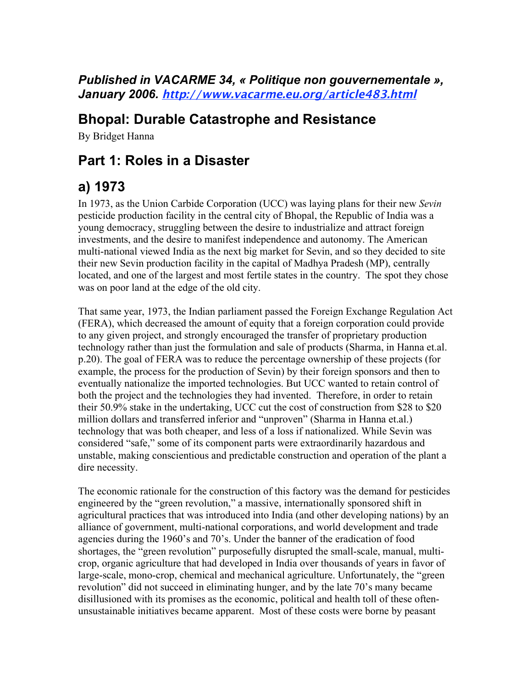#### *Published in VACARME 34, « Politique non gouvernementale », January 2006.* **http://www.vacarme.eu.org/article483.html**

#### **Bhopal: Durable Catastrophe and Resistance**

By Bridget Hanna

## **Part 1: Roles in a Disaster**

# **a) 1973**

In 1973, as the Union Carbide Corporation (UCC) was laying plans for their new *Sevin* pesticide production facility in the central city of Bhopal, the Republic of India was a young democracy, struggling between the desire to industrialize and attract foreign investments, and the desire to manifest independence and autonomy. The American multi-national viewed India as the next big market for Sevin, and so they decided to site their new Sevin production facility in the capital of Madhya Pradesh (MP), centrally located, and one of the largest and most fertile states in the country. The spot they chose was on poor land at the edge of the old city.

That same year, 1973, the Indian parliament passed the Foreign Exchange Regulation Act (FERA), which decreased the amount of equity that a foreign corporation could provide to any given project, and strongly encouraged the transfer of proprietary production technology rather than just the formulation and sale of products (Sharma, in Hanna et.al. p.20). The goal of FERA was to reduce the percentage ownership of these projects (for example, the process for the production of Sevin) by their foreign sponsors and then to eventually nationalize the imported technologies. But UCC wanted to retain control of both the project and the technologies they had invented. Therefore, in order to retain their 50.9% stake in the undertaking, UCC cut the cost of construction from \$28 to \$20 million dollars and transferred inferior and "unproven" (Sharma in Hanna et.al.) technology that was both cheaper, and less of a loss if nationalized. While Sevin was considered "safe," some of its component parts were extraordinarily hazardous and unstable, making conscientious and predictable construction and operation of the plant a dire necessity.

The economic rationale for the construction of this factory was the demand for pesticides engineered by the "green revolution," a massive, internationally sponsored shift in agricultural practices that was introduced into India (and other developing nations) by an alliance of government, multi-national corporations, and world development and trade agencies during the 1960's and 70's. Under the banner of the eradication of food shortages, the "green revolution" purposefully disrupted the small-scale, manual, multicrop, organic agriculture that had developed in India over thousands of years in favor of large-scale, mono-crop, chemical and mechanical agriculture. Unfortunately, the "green revolution" did not succeed in eliminating hunger, and by the late 70's many became disillusioned with its promises as the economic, political and health toll of these oftenunsustainable initiatives became apparent. Most of these costs were borne by peasant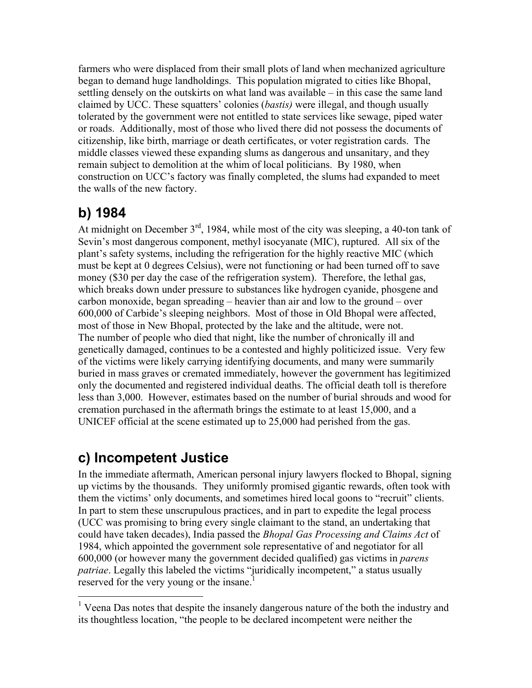farmers who were displaced from their small plots of land when mechanized agriculture began to demand huge landholdings. This population migrated to cities like Bhopal, settling densely on the outskirts on what land was available – in this case the same land claimed by UCC. These squatters' colonies (*bastis)* were illegal, and though usually tolerated by the government were not entitled to state services like sewage, piped water or roads. Additionally, most of those who lived there did not possess the documents of citizenship, like birth, marriage or death certificates, or voter registration cards. The middle classes viewed these expanding slums as dangerous and unsanitary, and they remain subject to demolition at the whim of local politicians. By 1980, when construction on UCC's factory was finally completed, the slums had expanded to meet the walls of the new factory.

# **b) 1984**

At midnight on December  $3<sup>rd</sup>$ , 1984, while most of the city was sleeping, a 40-ton tank of Sevin's most dangerous component, methyl isocyanate (MIC), ruptured. All six of the plant's safety systems, including the refrigeration for the highly reactive MIC (which must be kept at 0 degrees Celsius), were not functioning or had been turned off to save money (\$30 per day the case of the refrigeration system). Therefore, the lethal gas, which breaks down under pressure to substances like hydrogen cyanide, phosgene and carbon monoxide, began spreading – heavier than air and low to the ground – over 600,000 of Carbide's sleeping neighbors. Most of those in Old Bhopal were affected, most of those in New Bhopal, protected by the lake and the altitude, were not. The number of people who died that night, like the number of chronically ill and genetically damaged, continues to be a contested and highly politicized issue. Very few of the victims were likely carrying identifying documents, and many were summarily buried in mass graves or cremated immediately, however the government has legitimized only the documented and registered individual deaths. The official death toll is therefore less than 3,000. However, estimates based on the number of burial shrouds and wood for cremation purchased in the aftermath brings the estimate to at least 15,000, and a UNICEF official at the scene estimated up to 25,000 had perished from the gas.

## **c) Incompetent Justice**

In the immediate aftermath, American personal injury lawyers flocked to Bhopal, signing up victims by the thousands. They uniformly promised gigantic rewards, often took with them the victims' only documents, and sometimes hired local goons to "recruit" clients. In part to stem these unscrupulous practices, and in part to expedite the legal process (UCC was promising to bring every single claimant to the stand, an undertaking that could have taken decades), India passed the *Bhopal Gas Processing and Claims Act* of 1984, which appointed the government sole representative of and negotiator for all 600,000 (or however many the government decided qualified) gas victims in *parens patriae*. Legally this labeled the victims "juridically incompetent," a status usually reserved for the very young or the insane.<sup>1</sup>

<sup>&</sup>lt;sup>1</sup> Veena Das notes that despite the insanely dangerous nature of the both the industry and its thoughtless location, "the people to be declared incompetent were neither the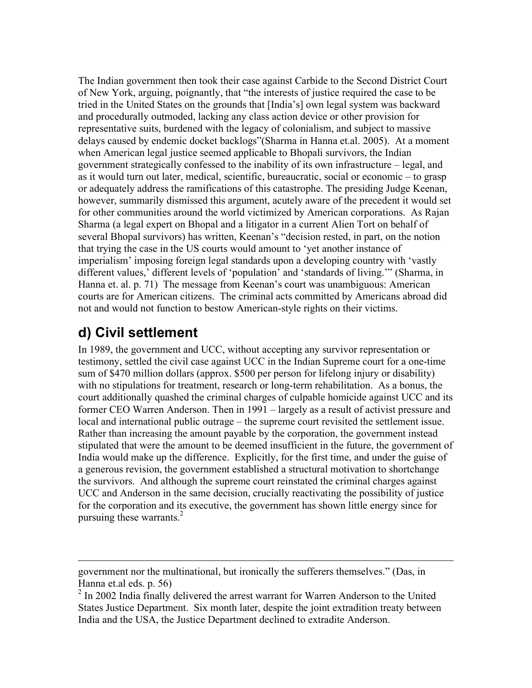The Indian government then took their case against Carbide to the Second District Court of New York, arguing, poignantly, that "the interests of justice required the case to be tried in the United States on the grounds that [India's] own legal system was backward and procedurally outmoded, lacking any class action device or other provision for representative suits, burdened with the legacy of colonialism, and subject to massive delays caused by endemic docket backlogs"(Sharma in Hanna et.al. 2005). At a moment when American legal justice seemed applicable to Bhopali survivors, the Indian government strategically confessed to the inability of its own infrastructure – legal, and as it would turn out later, medical, scientific, bureaucratic, social or economic – to grasp or adequately address the ramifications of this catastrophe. The presiding Judge Keenan, however, summarily dismissed this argument, acutely aware of the precedent it would set for other communities around the world victimized by American corporations. As Rajan Sharma (a legal expert on Bhopal and a litigator in a current Alien Tort on behalf of several Bhopal survivors) has written, Keenan's "decision rested, in part, on the notion that trying the case in the US courts would amount to 'yet another instance of imperialism' imposing foreign legal standards upon a developing country with 'vastly different values,' different levels of 'population' and 'standards of living.'" (Sharma, in Hanna et. al. p. 71) The message from Keenan's court was unambiguous: American courts are for American citizens. The criminal acts committed by Americans abroad did not and would not function to bestow American-style rights on their victims.

### **d) Civil settlement**

 $\overline{a}$ 

In 1989, the government and UCC, without accepting any survivor representation or testimony, settled the civil case against UCC in the Indian Supreme court for a one-time sum of \$470 million dollars (approx. \$500 per person for lifelong injury or disability) with no stipulations for treatment, research or long-term rehabilitation. As a bonus, the court additionally quashed the criminal charges of culpable homicide against UCC and its former CEO Warren Anderson. Then in 1991 – largely as a result of activist pressure and local and international public outrage – the supreme court revisited the settlement issue. Rather than increasing the amount payable by the corporation, the government instead stipulated that were the amount to be deemed insufficient in the future, the government of India would make up the difference. Explicitly, for the first time, and under the guise of a generous revision, the government established a structural motivation to shortchange the survivors. And although the supreme court reinstated the criminal charges against UCC and Anderson in the same decision, crucially reactivating the possibility of justice for the corporation and its executive, the government has shown little energy since for pursuing these warrants.<sup>2</sup>

government nor the multinational, but ironically the sufferers themselves." (Das, in Hanna et.al eds. p. 56)

 $2 \text{ In } 2002$  India finally delivered the arrest warrant for Warren Anderson to the United States Justice Department. Six month later, despite the joint extradition treaty between India and the USA, the Justice Department declined to extradite Anderson.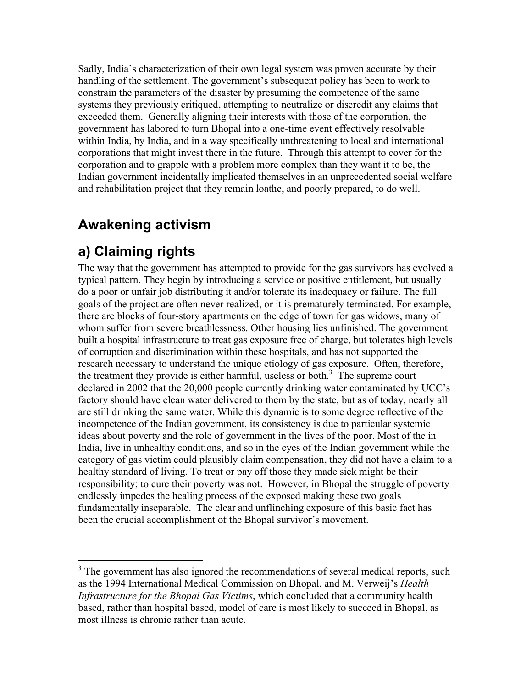Sadly, India's characterization of their own legal system was proven accurate by their handling of the settlement. The government's subsequent policy has been to work to constrain the parameters of the disaster by presuming the competence of the same systems they previously critiqued, attempting to neutralize or discredit any claims that exceeded them. Generally aligning their interests with those of the corporation, the government has labored to turn Bhopal into a one-time event effectively resolvable within India, by India, and in a way specifically unthreatening to local and international corporations that might invest there in the future. Through this attempt to cover for the corporation and to grapple with a problem more complex than they want it to be, the Indian government incidentally implicated themselves in an unprecedented social welfare and rehabilitation project that they remain loathe, and poorly prepared, to do well.

### **Awakening activism**

# **a) Claiming rights**

The way that the government has attempted to provide for the gas survivors has evolved a typical pattern. They begin by introducing a service or positive entitlement, but usually do a poor or unfair job distributing it and/or tolerate its inadequacy or failure. The full goals of the project are often never realized, or it is prematurely terminated. For example, there are blocks of four-story apartments on the edge of town for gas widows, many of whom suffer from severe breathlessness. Other housing lies unfinished. The government built a hospital infrastructure to treat gas exposure free of charge, but tolerates high levels of corruption and discrimination within these hospitals, and has not supported the research necessary to understand the unique etiology of gas exposure. Often, therefore, the treatment they provide is either harmful, useless or both. 3 The supreme court declared in 2002 that the 20,000 people currently drinking water contaminated by UCC's factory should have clean water delivered to them by the state, but as of today, nearly all are still drinking the same water. While this dynamic is to some degree reflective of the incompetence of the Indian government, its consistency is due to particular systemic ideas about poverty and the role of government in the lives of the poor. Most of the in India, live in unhealthy conditions, and so in the eyes of the Indian government while the category of gas victim could plausibly claim compensation, they did not have a claim to a healthy standard of living. To treat or pay off those they made sick might be their responsibility; to cure their poverty was not. However, in Bhopal the struggle of poverty endlessly impedes the healing process of the exposed making these two goals fundamentally inseparable. The clear and unflinching exposure of this basic fact has been the crucial accomplishment of the Bhopal survivor's movement.

<sup>&</sup>lt;sup>3</sup> The government has also ignored the recommendations of several medical reports, such as the 1994 International Medical Commission on Bhopal, and M. Verweij's *Health Infrastructure for the Bhopal Gas Victims*, which concluded that a community health based, rather than hospital based, model of care is most likely to succeed in Bhopal, as most illness is chronic rather than acute.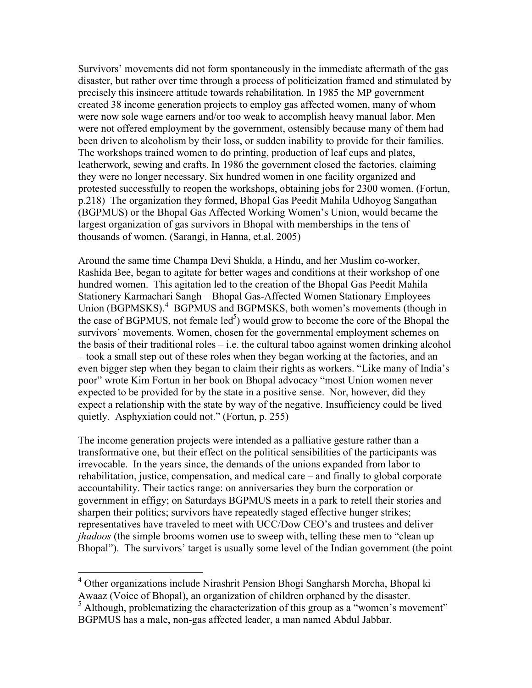Survivors' movements did not form spontaneously in the immediate aftermath of the gas disaster, but rather over time through a process of politicization framed and stimulated by precisely this insincere attitude towards rehabilitation. In 1985 the MP government created 38 income generation projects to employ gas affected women, many of whom were now sole wage earners and/or too weak to accomplish heavy manual labor. Men were not offered employment by the government, ostensibly because many of them had been driven to alcoholism by their loss, or sudden inability to provide for their families. The workshops trained women to do printing, production of leaf cups and plates, leatherwork, sewing and crafts. In 1986 the government closed the factories, claiming they were no longer necessary. Six hundred women in one facility organized and protested successfully to reopen the workshops, obtaining jobs for 2300 women. (Fortun, p.218) The organization they formed, Bhopal Gas Peedit Mahila Udhoyog Sangathan (BGPMUS) or the Bhopal Gas Affected Working Women's Union, would became the largest organization of gas survivors in Bhopal with memberships in the tens of thousands of women. (Sarangi, in Hanna, et.al. 2005)

Around the same time Champa Devi Shukla, a Hindu, and her Muslim co-worker, Rashida Bee, began to agitate for better wages and conditions at their workshop of one hundred women. This agitation led to the creation of the Bhopal Gas Peedit Mahila Stationery Karmachari Sangh – Bhopal Gas-Affected Women Stationary Employees Union (BGPMSKS).<sup>4</sup> BGPMUS and BGPMSKS, both women's movements (though in the case of BGPMUS, not female  $\text{led}^5$ ) would grow to become the core of the Bhopal the survivors' movements. Women, chosen for the governmental employment schemes on the basis of their traditional roles  $-$  i.e. the cultural taboo against women drinking alcohol – took a small step out of these roles when they began working at the factories, and an even bigger step when they began to claim their rights as workers. "Like many of India's poor" wrote Kim Fortun in her book on Bhopal advocacy "most Union women never expected to be provided for by the state in a positive sense. Nor, however, did they expect a relationship with the state by way of the negative. Insufficiency could be lived quietly. Asphyxiation could not." (Fortun, p. 255)

The income generation projects were intended as a palliative gesture rather than a transformative one, but their effect on the political sensibilities of the participants was irrevocable. In the years since, the demands of the unions expanded from labor to rehabilitation, justice, compensation, and medical care – and finally to global corporate accountability. Their tactics range: on anniversaries they burn the corporation or government in effigy; on Saturdays BGPMUS meets in a park to retell their stories and sharpen their politics; survivors have repeatedly staged effective hunger strikes; representatives have traveled to meet with UCC/Dow CEO's and trustees and deliver *jhadoos* (the simple brooms women use to sweep with, telling these men to "clean up Bhopal"). The survivors' target is usually some level of the Indian government (the point

 <sup>4</sup> Other organizations include Nirashrit Pension Bhogi Sangharsh Morcha, Bhopal ki Awaaz (Voice of Bhopal), an organization of children orphaned by the disaster.

 $<sup>5</sup>$  Although, problematizing the characterization of this group as a "women's movement"</sup> BGPMUS has a male, non-gas affected leader, a man named Abdul Jabbar.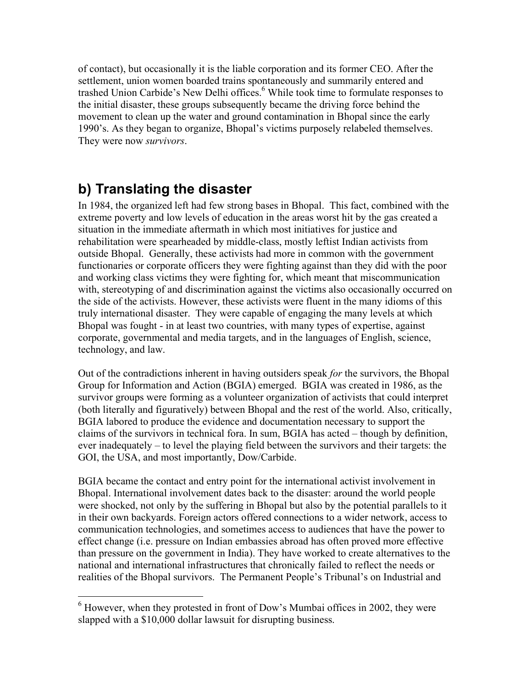of contact), but occasionally it is the liable corporation and its former CEO. After the settlement, union women boarded trains spontaneously and summarily entered and trashed Union Carbide's New Delhi offices. 6 While took time to formulate responses to the initial disaster, these groups subsequently became the driving force behind the movement to clean up the water and ground contamination in Bhopal since the early 1990's. As they began to organize, Bhopal's victims purposely relabeled themselves. They were now *survivors*.

### **b) Translating the disaster**

In 1984, the organized left had few strong bases in Bhopal. This fact, combined with the extreme poverty and low levels of education in the areas worst hit by the gas created a situation in the immediate aftermath in which most initiatives for justice and rehabilitation were spearheaded by middle-class, mostly leftist Indian activists from outside Bhopal. Generally, these activists had more in common with the government functionaries or corporate officers they were fighting against than they did with the poor and working class victims they were fighting for, which meant that miscommunication with, stereotyping of and discrimination against the victims also occasionally occurred on the side of the activists. However, these activists were fluent in the many idioms of this truly international disaster. They were capable of engaging the many levels at which Bhopal was fought - in at least two countries, with many types of expertise, against corporate, governmental and media targets, and in the languages of English, science, technology, and law.

Out of the contradictions inherent in having outsiders speak *for* the survivors, the Bhopal Group for Information and Action (BGIA) emerged. BGIA was created in 1986, as the survivor groups were forming as a volunteer organization of activists that could interpret (both literally and figuratively) between Bhopal and the rest of the world. Also, critically, BGIA labored to produce the evidence and documentation necessary to support the claims of the survivors in technical fora. In sum, BGIA has acted – though by definition, ever inadequately – to level the playing field between the survivors and their targets: the GOI, the USA, and most importantly, Dow/Carbide.

BGIA became the contact and entry point for the international activist involvement in Bhopal. International involvement dates back to the disaster: around the world people were shocked, not only by the suffering in Bhopal but also by the potential parallels to it in their own backyards. Foreign actors offered connections to a wider network, access to communication technologies, and sometimes access to audiences that have the power to effect change (i.e. pressure on Indian embassies abroad has often proved more effective than pressure on the government in India). They have worked to create alternatives to the national and international infrastructures that chronically failed to reflect the needs or realities of the Bhopal survivors. The Permanent People's Tribunal's on Industrial and

 <sup>6</sup> However, when they protested in front of Dow's Mumbai offices in 2002, they were slapped with a \$10,000 dollar lawsuit for disrupting business.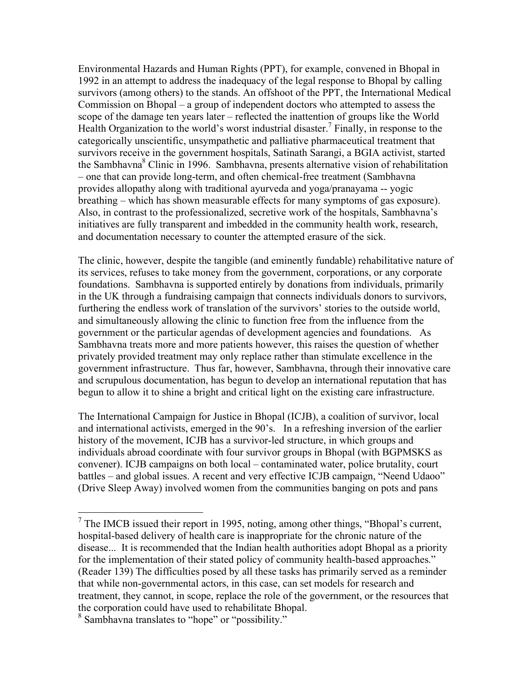Environmental Hazards and Human Rights (PPT), for example, convened in Bhopal in 1992 in an attempt to address the inadequacy of the legal response to Bhopal by calling survivors (among others) to the stands. An offshoot of the PPT, the International Medical Commission on Bhopal – a group of independent doctors who attempted to assess the scope of the damage ten years later – reflected the inattention of groups like the World Health Organization to the world's worst industrial disaster.<sup>7</sup> Finally, in response to the categorically unscientific, unsympathetic and palliative pharmaceutical treatment that survivors receive in the government hospitals, Satinath Sarangi, a BGIA activist, started the Sambhavna 8 Clinic in 1996. Sambhavna, presents alternative vision of rehabilitation – one that can provide long-term, and often chemical-free treatment (Sambhavna provides allopathy along with traditional ayurveda and yoga/pranayama -- yogic breathing – which has shown measurable effects for many symptoms of gas exposure). Also, in contrast to the professionalized, secretive work of the hospitals, Sambhavna's initiatives are fully transparent and imbedded in the community health work, research, and documentation necessary to counter the attempted erasure of the sick.

The clinic, however, despite the tangible (and eminently fundable) rehabilitative nature of its services, refuses to take money from the government, corporations, or any corporate foundations. Sambhavna is supported entirely by donations from individuals, primarily in the UK through a fundraising campaign that connects individuals donors to survivors, furthering the endless work of translation of the survivors' stories to the outside world, and simultaneously allowing the clinic to function free from the influence from the government or the particular agendas of development agencies and foundations. As Sambhavna treats more and more patients however, this raises the question of whether privately provided treatment may only replace rather than stimulate excellence in the government infrastructure. Thus far, however, Sambhavna, through their innovative care and scrupulous documentation, has begun to develop an international reputation that has begun to allow it to shine a bright and critical light on the existing care infrastructure.

The International Campaign for Justice in Bhopal (ICJB), a coalition of survivor, local and international activists, emerged in the 90's. In a refreshing inversion of the earlier history of the movement, ICJB has a survivor-led structure, in which groups and individuals abroad coordinate with four survivor groups in Bhopal (with BGPMSKS as convener). ICJB campaigns on both local – contaminated water, police brutality, court battles – and global issues. A recent and very effective ICJB campaign, "Neend Udaoo" (Drive Sleep Away) involved women from the communities banging on pots and pans

<sup>&</sup>lt;sup>7</sup> The IMCB issued their report in 1995, noting, among other things, "Bhopal's current, hospital-based delivery of health care is inappropriate for the chronic nature of the disease... It is recommended that the Indian health authorities adopt Bhopal as a priority for the implementation of their stated policy of community health-based approaches." (Reader 139) The difficulties posed by all these tasks has primarily served as a reminder that while non-governmental actors, in this case, can set models for research and treatment, they cannot, in scope, replace the role of the government, or the resources that the corporation could have used to rehabilitate Bhopal.

<sup>&</sup>lt;sup>8</sup> Sambhavna translates to "hope" or "possibility."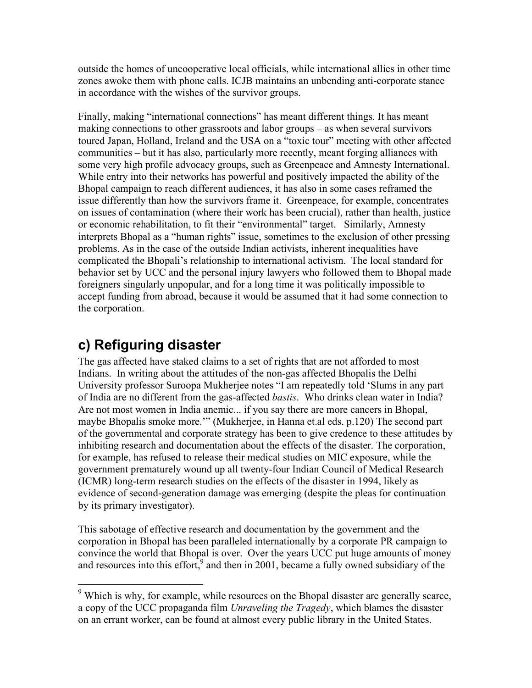outside the homes of uncooperative local officials, while international allies in other time zones awoke them with phone calls. ICJB maintains an unbending anti-corporate stance in accordance with the wishes of the survivor groups.

Finally, making "international connections" has meant different things. It has meant making connections to other grassroots and labor groups – as when several survivors toured Japan, Holland, Ireland and the USA on a "toxic tour" meeting with other affected communities – but it has also, particularly more recently, meant forging alliances with some very high profile advocacy groups, such as Greenpeace and Amnesty International. While entry into their networks has powerful and positively impacted the ability of the Bhopal campaign to reach different audiences, it has also in some cases reframed the issue differently than how the survivors frame it. Greenpeace, for example, concentrates on issues of contamination (where their work has been crucial), rather than health, justice or economic rehabilitation, to fit their "environmental" target. Similarly, Amnesty interprets Bhopal as a "human rights" issue, sometimes to the exclusion of other pressing problems. As in the case of the outside Indian activists, inherent inequalities have complicated the Bhopali's relationship to international activism. The local standard for behavior set by UCC and the personal injury lawyers who followed them to Bhopal made foreigners singularly unpopular, and for a long time it was politically impossible to accept funding from abroad, because it would be assumed that it had some connection to the corporation.

## **c) Refiguring disaster**

The gas affected have staked claims to a set of rights that are not afforded to most Indians. In writing about the attitudes of the non-gas affected Bhopalis the Delhi University professor Suroopa Mukherjee notes "I am repeatedly told 'Slums in any part of India are no different from the gas-affected *bastis*. Who drinks clean water in India? Are not most women in India anemic... if you say there are more cancers in Bhopal, maybe Bhopalis smoke more.'" (Mukherjee, in Hanna et.al eds. p.120) The second part of the governmental and corporate strategy has been to give credence to these attitudes by inhibiting research and documentation about the effects of the disaster. The corporation, for example, has refused to release their medical studies on MIC exposure, while the government prematurely wound up all twenty-four Indian Council of Medical Research (ICMR) long-term research studies on the effects of the disaster in 1994, likely as evidence of second-generation damage was emerging (despite the pleas for continuation by its primary investigator).

This sabotage of effective research and documentation by the government and the corporation in Bhopal has been paralleled internationally by a corporate PR campaign to convince the world that Bhopal is over. Over the years UCC put huge amounts of money and resources into this effort,  $9$  and then in 2001, became a fully owned subsidiary of the

<sup>&</sup>lt;sup>9</sup> Which is why, for example, while resources on the Bhopal disaster are generally scarce, a copy of the UCC propaganda film *Unraveling the Tragedy*, which blames the disaster on an errant worker, can be found at almost every public library in the United States.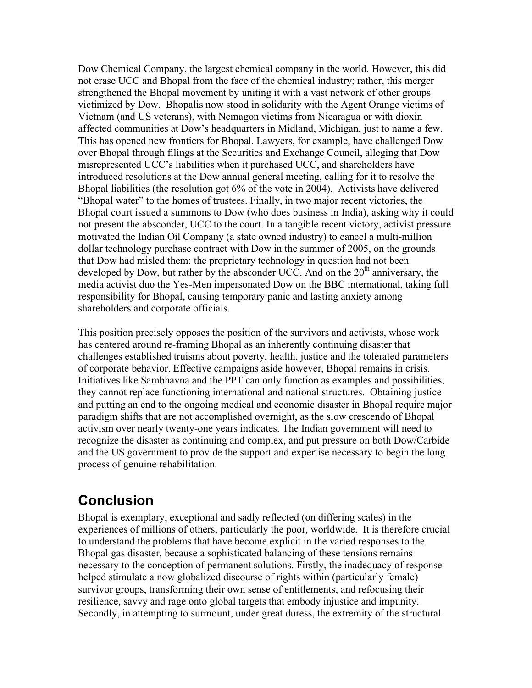Dow Chemical Company, the largest chemical company in the world. However, this did not erase UCC and Bhopal from the face of the chemical industry; rather, this merger strengthened the Bhopal movement by uniting it with a vast network of other groups victimized by Dow. Bhopalis now stood in solidarity with the Agent Orange victims of Vietnam (and US veterans), with Nemagon victims from Nicaragua or with dioxin affected communities at Dow's headquarters in Midland, Michigan, just to name a few. This has opened new frontiers for Bhopal. Lawyers, for example, have challenged Dow over Bhopal through filings at the Securities and Exchange Council, alleging that Dow misrepresented UCC's liabilities when it purchased UCC, and shareholders have introduced resolutions at the Dow annual general meeting, calling for it to resolve the Bhopal liabilities (the resolution got 6% of the vote in 2004). Activists have delivered "Bhopal water" to the homes of trustees. Finally, in two major recent victories, the Bhopal court issued a summons to Dow (who does business in India), asking why it could not present the absconder, UCC to the court. In a tangible recent victory, activist pressure motivated the Indian Oil Company (a state owned industry) to cancel a multi-million dollar technology purchase contract with Dow in the summer of 2005, on the grounds that Dow had misled them: the proprietary technology in question had not been developed by Dow, but rather by the absconder UCC. And on the  $20<sup>th</sup>$  anniversary, the media activist duo the Yes-Men impersonated Dow on the BBC international, taking full responsibility for Bhopal, causing temporary panic and lasting anxiety among shareholders and corporate officials.

This position precisely opposes the position of the survivors and activists, whose work has centered around re-framing Bhopal as an inherently continuing disaster that challenges established truisms about poverty, health, justice and the tolerated parameters of corporate behavior. Effective campaigns aside however, Bhopal remains in crisis. Initiatives like Sambhavna and the PPT can only function as examples and possibilities, they cannot replace functioning international and national structures. Obtaining justice and putting an end to the ongoing medical and economic disaster in Bhopal require major paradigm shifts that are not accomplished overnight, as the slow crescendo of Bhopal activism over nearly twenty-one years indicates. The Indian government will need to recognize the disaster as continuing and complex, and put pressure on both Dow/Carbide and the US government to provide the support and expertise necessary to begin the long process of genuine rehabilitation.

#### **Conclusion**

Bhopal is exemplary, exceptional and sadly reflected (on differing scales) in the experiences of millions of others, particularly the poor, worldwide. It is therefore crucial to understand the problems that have become explicit in the varied responses to the Bhopal gas disaster, because a sophisticated balancing of these tensions remains necessary to the conception of permanent solutions. Firstly, the inadequacy of response helped stimulate a now globalized discourse of rights within (particularly female) survivor groups, transforming their own sense of entitlements, and refocusing their resilience, savvy and rage onto global targets that embody injustice and impunity. Secondly, in attempting to surmount, under great duress, the extremity of the structural